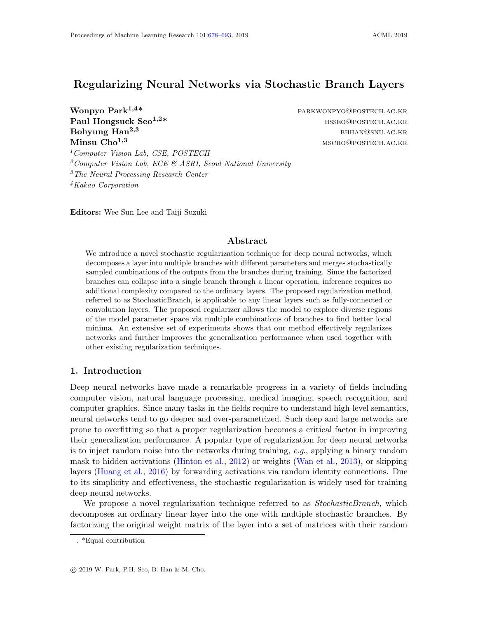# <span id="page-0-0"></span>Regularizing Neural Networks via Stochastic Branch Layers

Wonpyo Park<sup>1,4\*</sup> PARKWONPYO@POSTECH.AC.KR Paul Hongsuck Seo<sup>1,2\*</sup> https://www.mateural.com/mateural.com/mateural.com/mateural.com/mateural.com/mateural.com/mateural.com/mateural.com/mateural.com/mateural.com/mateural.com/mateural.com/mateural.com/mateural.com/mate **Bohyung Han<sup>2,3</sup> bhannach ann am Bhannach ann am Bhannach ann am Bhannach ann am Bhannach ann am Bhannach ann am Bhannach ann am Bhannach ann am Bhannach ann am Bhannach ann am Bhannach ann am Bhannach ann am Bhannach ann** Minsu Cho<sup>1,3</sup> mscho@postech.ac.kr

<sup>1</sup>Computer Vision Lab, CSE, POSTECH Computer Vision Lab, ECE & ASRI, Seoul National University The Neural Processing Research Center Kakao Corporation

Editors: Wee Sun Lee and Taiji Suzuki

## Abstract

We introduce a novel stochastic regularization technique for deep neural networks, which decomposes a layer into multiple branches with different parameters and merges stochastically sampled combinations of the outputs from the branches during training. Since the factorized branches can collapse into a single branch through a linear operation, inference requires no additional complexity compared to the ordinary layers. The proposed regularization method, referred to as StochasticBranch, is applicable to any linear layers such as fully-connected or convolution layers. The proposed regularizer allows the model to explore diverse regions of the model parameter space via multiple combinations of branches to find better local minima. An extensive set of experiments shows that our method effectively regularizes networks and further improves the generalization performance when used together with other existing regularization techniques.

## 1. Introduction

Deep neural networks have made a remarkable progress in a variety of fields including computer vision, natural language processing, medical imaging, speech recognition, and computer graphics. Since many tasks in the fields require to understand high-level semantics, neural networks tend to go deeper and over-parametrized. Such deep and large networks are prone to overfitting so that a proper regularization becomes a critical factor in improving their generalization performance. A popular type of regularization for deep neural networks is to inject random noise into the networks during training, e.g., applying a binary random mask to hidden activations [\(Hinton et al.,](#page-14-0) [2012\)](#page-14-0) or weights [\(Wan et al.,](#page-15-1) [2013\)](#page-15-1), or skipping layers [\(Huang et al.,](#page-14-1) [2016\)](#page-14-1) by forwarding activations via random identity connections. Due to its simplicity and effectiveness, the stochastic regularization is widely used for training deep neural networks.

We propose a novel regularization technique referred to as *StochasticBranch*, which decomposes an ordinary linear layer into the one with multiple stochastic branches. By factorizing the original weight matrix of the layer into a set of matrices with their random

<sup>. \*</sup>Equal contribution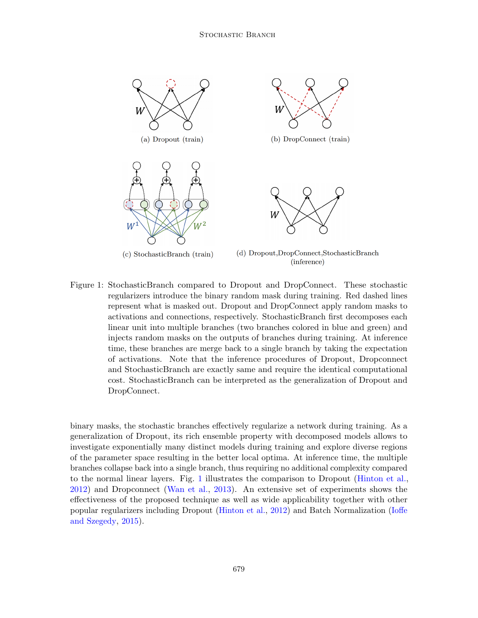#### STOCHASTIC BRANCH



<span id="page-1-0"></span>Figure 1: StochasticBranch compared to Dropout and DropConnect. These stochastic regularizers introduce the binary random mask during training. Red dashed lines represent what is masked out. Dropout and DropConnect apply random masks to activations and connections, respectively. StochasticBranch first decomposes each linear unit into multiple branches (two branches colored in blue and green) and injects random masks on the outputs of branches during training. At inference time, these branches are merge back to a single branch by taking the expectation of activations. Note that the inference procedures of Dropout, Dropconnect and StochasticBranch are exactly same and require the identical computational cost. StochasticBranch can be interpreted as the generalization of Dropout and DropConnect.

binary masks, the stochastic branches effectively regularize a network during training. As a generalization of Dropout, its rich ensemble property with decomposed models allows to investigate exponentially many distinct models during training and explore diverse regions of the parameter space resulting in the better local optima. At inference time, the multiple branches collapse back into a single branch, thus requiring no additional complexity compared to the normal linear layers. Fig. [1](#page-1-0) illustrates the comparison to Dropout [\(Hinton et al.,](#page-14-0) [2012\)](#page-14-0) and Dropconnect [\(Wan et al.,](#page-15-1) [2013\)](#page-15-1). An extensive set of experiments shows the effectiveness of the proposed technique as well as wide applicability together with other popular regularizers including Dropout [\(Hinton et al.,](#page-14-0) [2012\)](#page-14-0) and Batch Normalization [\(Ioffe](#page-14-2) [and Szegedy,](#page-14-2) [2015\)](#page-14-2).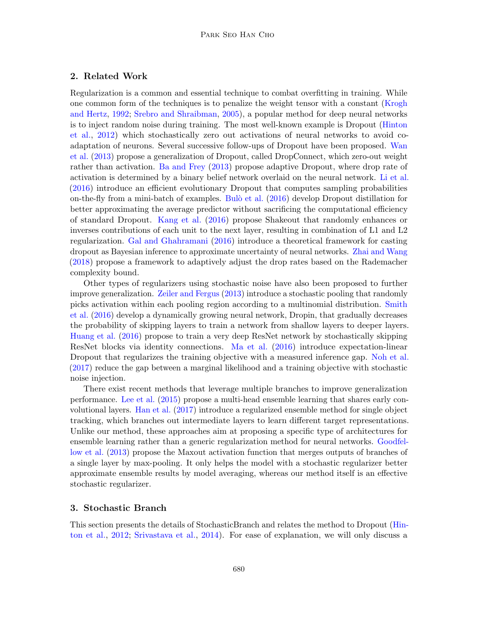## 2. Related Work

Regularization is a common and essential technique to combat overfitting in training. While one common form of the techniques is to penalize the weight tensor with a constant [\(Krogh](#page-14-3) [and Hertz,](#page-14-3) [1992;](#page-14-3) [Srebro and Shraibman,](#page-15-2) [2005\)](#page-15-2), a popular method for deep neural networks is to inject random noise during training. The most well-known example is Dropout [\(Hinton](#page-14-0) [et al.,](#page-14-0) [2012\)](#page-14-0) which stochastically zero out activations of neural networks to avoid coadaptation of neurons. Several successive follow-ups of Dropout have been proposed. [Wan](#page-15-1) [et al.](#page-15-1) [\(2013\)](#page-15-1) propose a generalization of Dropout, called DropConnect, which zero-out weight rather than activation. [Ba and Frey](#page-13-0) [\(2013\)](#page-13-0) propose adaptive Dropout, where drop rate of activation is determined by a binary belief network overlaid on the neural network. [Li et al.](#page-15-3) [\(2016\)](#page-15-3) introduce an efficient evolutionary Dropout that computes sampling probabilities on-the-fly from a mini-batch of examples. Bulò et al. [\(2016\)](#page-13-1) develop Dropout distillation for better approximating the average predictor without sacrificing the computational efficiency of standard Dropout. [Kang et al.](#page-14-4) [\(2016\)](#page-14-4) propose Shakeout that randomly enhances or inverses contributions of each unit to the next layer, resulting in combination of L1 and L2 regularization. [Gal and Ghahramani](#page-14-5) [\(2016\)](#page-14-5) introduce a theoretical framework for casting dropout as Bayesian inference to approximate uncertainty of neural networks. [Zhai and Wang](#page-15-4) [\(2018\)](#page-15-4) propose a framework to adaptively adjust the drop rates based on the Rademacher complexity bound.

Other types of regularizers using stochastic noise have also been proposed to further improve generalization. [Zeiler and Fergus](#page-15-5) [\(2013\)](#page-15-5) introduce a stochastic pooling that randomly picks activation within each pooling region according to a multinomial distribution. [Smith](#page-15-6) [et al.](#page-15-6) [\(2016\)](#page-15-6) develop a dynamically growing neural network, Dropin, that gradually decreases the probability of skipping layers to train a network from shallow layers to deeper layers. [Huang et al.](#page-14-1) [\(2016\)](#page-14-1) propose to train a very deep ResNet network by stochastically skipping ResNet blocks via identity connections. [Ma et al.](#page-15-7) [\(2016\)](#page-15-7) introduce expectation-linear Dropout that regularizes the training objective with a measured inference gap. [Noh et al.](#page-15-8) [\(2017\)](#page-15-8) reduce the gap between a marginal likelihood and a training objective with stochastic noise injection.

There exist recent methods that leverage multiple branches to improve generalization performance. [Lee et al.](#page-14-6) [\(2015\)](#page-14-6) propose a multi-head ensemble learning that shares early convolutional layers. [Han et al.](#page-14-7) [\(2017\)](#page-14-7) introduce a regularized ensemble method for single object tracking, which branches out intermediate layers to learn different target representations. Unlike our method, these approaches aim at proposing a specific type of architectures for ensemble learning rather than a generic regularization method for neural networks. [Goodfel](#page-14-8)[low et al.](#page-14-8) [\(2013\)](#page-14-8) propose the Maxout activation function that merges outputs of branches of a single layer by max-pooling. It only helps the model with a stochastic regularizer better approximate ensemble results by model averaging, whereas our method itself is an effective stochastic regularizer.

### 3. Stochastic Branch

This section presents the details of StochasticBranch and relates the method to Dropout [\(Hin](#page-14-0)[ton et al.,](#page-14-0) [2012;](#page-14-0) [Srivastava et al.,](#page-15-9) [2014\)](#page-15-9). For ease of explanation, we will only discuss a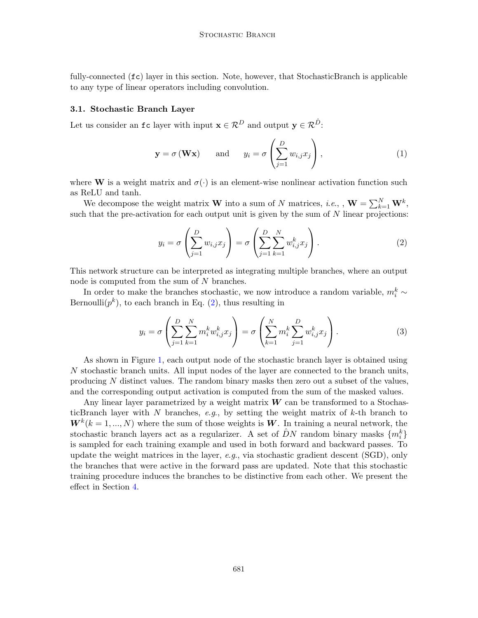fully-connected  $({\bf fc})$  layer in this section. Note, however, that StochasticBranch is applicable to any type of linear operators including convolution.

#### 3.1. Stochastic Branch Layer

Let us consider an  $\texttt{fc}$  layer with input  $\mathbf{x} \in \mathcal{R}^D$  and output  $\mathbf{y} \in \mathcal{R}^{\hat{D}}$ :

$$
\mathbf{y} = \sigma(\mathbf{W}\mathbf{x})
$$
 and  $y_i = \sigma\left(\sum_{j=1}^D w_{i,j} x_j\right)$ , (1)

where **W** is a weight matrix and  $\sigma(\cdot)$  is an element-wise nonlinear activation function such as ReLU and tanh.

We decompose the weight matrix **W** into a sum of N matrices, *i.e.*, ,  $\mathbf{W} = \sum_{k=1}^{N} \mathbf{W}^{k}$ , such that the pre-activation for each output unit is given by the sum of  $N$  linear projections:

<span id="page-3-1"></span><span id="page-3-0"></span>
$$
y_i = \sigma \left( \sum_{j=1}^D w_{i,j} x_j \right) = \sigma \left( \sum_{j=1}^D \sum_{k=1}^N w_{i,j}^k x_j \right). \tag{2}
$$

This network structure can be interpreted as integrating multiple branches, where an output node is computed from the sum of N branches.

In order to make the branches stochastic, we now introduce a random variable,  $m_i^k \sim$ Bernoulli $(p^k)$ , to each branch in Eq. [\(2\)](#page-3-0), thus resulting in

$$
y_i = \sigma \left( \sum_{j=1}^{D} \sum_{k=1}^{N} m_i^k w_{i,j}^k x_j \right) = \sigma \left( \sum_{k=1}^{N} m_i^k \sum_{j=1}^{D} w_{i,j}^k x_j \right). \tag{3}
$$

As shown in Figure [1,](#page-1-0) each output node of the stochastic branch layer is obtained using N stochastic branch units. All input nodes of the layer are connected to the branch units, producing  $N$  distinct values. The random binary masks then zero out a subset of the values, and the corresponding output activation is computed from the sum of the masked values.

Any linear layer parametrized by a weight matrix  $W$  can be transformed to a StochasticBranch layer with  $N$  branches,  $e.g.,$  by setting the weight matrix of  $k$ -th branch to  $W^k(k = 1, ..., N)$  where the sum of those weights is W. In training a neural network, the stochastic branch layers act as a regularizer. A set of  $\hat{D}N$  random binary masks  $\{m_i^k\}$ is sampled for each training example and used in both forward and backward passes. To update the weight matrices in the layer, e.g., via stochastic gradient descent  $(SGD)$ , only the branches that were active in the forward pass are updated. Note that this stochastic training procedure induces the branches to be distinctive from each other. We present the effect in Section [4.](#page-7-0)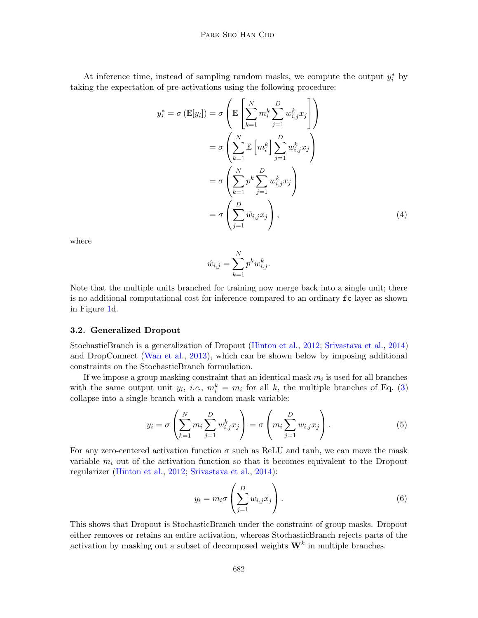At inference time, instead of sampling random masks, we compute the output  $y_i^*$  by taking the expectation of pre-activations using the following procedure:

$$
y_i^* = \sigma \left( \mathbb{E}[y_i] \right) = \sigma \left( \mathbb{E} \left[ \sum_{k=1}^N m_i^k \sum_{j=1}^D w_{i,j}^k x_j \right] \right)
$$
  

$$
= \sigma \left( \sum_{k=1}^N \mathbb{E} \left[ m_i^k \right] \sum_{j=1}^D w_{i,j}^k x_j \right)
$$
  

$$
= \sigma \left( \sum_{k=1}^N p^k \sum_{j=1}^D w_{i,j}^k x_j \right)
$$
  

$$
= \sigma \left( \sum_{j=1}^D \hat{w}_{i,j} x_j \right), \tag{4}
$$

where

$$
\hat{w}_{i,j} = \sum_{k=1}^{N} p^k w_{i,j}^k.
$$

Note that the multiple units branched for training now merge back into a single unit; there is no additional computational cost for inference compared to an ordinary fc layer as shown in Figure [1d](#page-1-0).

#### 3.2. Generalized Dropout

StochasticBranch is a generalization of Dropout [\(Hinton et al.,](#page-14-0) [2012;](#page-14-0) [Srivastava et al.,](#page-15-9) [2014\)](#page-15-9) and DropConnect [\(Wan et al.,](#page-15-1) [2013\)](#page-15-1), which can be shown below by imposing additional constraints on the StochasticBranch formulation.

If we impose a group masking constraint that an identical mask  $m_i$  is used for all branches with the same output unit  $y_i$ , *i.e.*,  $m_i^k = m_i$  for all k, the multiple branches of Eq. [\(3\)](#page-3-1) collapse into a single branch with a random mask variable:

$$
y_i = \sigma \left( \sum_{k=1}^N m_i \sum_{j=1}^D w_{i,j}^k x_j \right) = \sigma \left( m_i \sum_{j=1}^D w_{i,j} x_j \right). \tag{5}
$$

For any zero-centered activation function  $\sigma$  such as ReLU and tanh, we can move the mask variable  $m_i$  out of the activation function so that it becomes equivalent to the Dropout regularizer [\(Hinton et al.,](#page-14-0) [2012;](#page-14-0) [Srivastava et al.,](#page-15-9) [2014\)](#page-15-9):

$$
y_i = m_i \sigma \left( \sum_{j=1}^D w_{i,j} x_j \right). \tag{6}
$$

This shows that Dropout is StochasticBranch under the constraint of group masks. Dropout either removes or retains an entire activation, whereas StochasticBranch rejects parts of the activation by masking out a subset of decomposed weights  $W^k$  in multiple branches.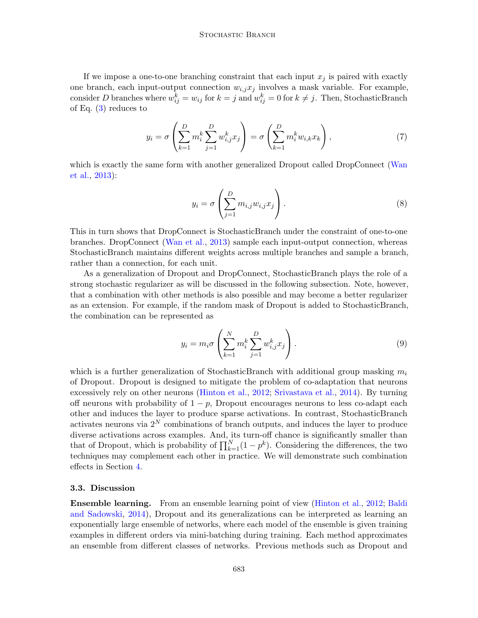If we impose a one-to-one branching constraint that each input  $x_j$  is paired with exactly one branch, each input-output connection  $w_{i,j}x_j$  involves a mask variable. For example, consider D branches where  $w_{ij}^k = w_{ij}$  for  $k = j$  and  $w_{ij}^k = 0$  for  $k \neq j$ . Then, StochasticBranch of Eq.  $(3)$  reduces to

$$
y_i = \sigma \left( \sum_{k=1}^D m_i^k \sum_{j=1}^D w_{i,j}^k x_j \right) = \sigma \left( \sum_{k=1}^D m_i^k w_{i,k} x_k \right),\tag{7}
$$

which is exactly the same form with another generalized Dropout called DropConnect [\(Wan](#page-15-1) [et al.,](#page-15-1) [2013\)](#page-15-1):

$$
y_i = \sigma \left( \sum_{j=1}^D m_{i,j} w_{i,j} x_j \right). \tag{8}
$$

This in turn shows that DropConnect is StochasticBranch under the constraint of one-to-one branches. DropConnect [\(Wan et al.,](#page-15-1) [2013\)](#page-15-1) sample each input-output connection, whereas StochasticBranch maintains different weights across multiple branches and sample a branch, rather than a connection, for each unit.

As a generalization of Dropout and DropConnect, StochasticBranch plays the role of a strong stochastic regularizer as will be discussed in the following subsection. Note, however, that a combination with other methods is also possible and may become a better regularizer as an extension. For example, if the random mask of Dropout is added to StochasticBranch, the combination can be represented as

$$
y_i = m_i \sigma \left( \sum_{k=1}^N m_i^k \sum_{j=1}^D w_{i,j}^k x_j \right). \tag{9}
$$

which is a further generalization of StochasticBranch with additional group masking  $m_i$ of Dropout. Dropout is designed to mitigate the problem of co-adaptation that neurons excessively rely on other neurons [\(Hinton et al.,](#page-14-0) [2012;](#page-14-0) [Srivastava et al.,](#page-15-9) [2014\)](#page-15-9). By turning off neurons with probability of  $1 - p$ , Dropout encourages neurons to less co-adapt each other and induces the layer to produce sparse activations. In contrast, StochasticBranch activates neurons via  $2^N$  combinations of branch outputs, and induces the layer to produce diverse activations across examples. And, its turn-off chance is significantly smaller than that of Dropout, which is probability of  $\prod_{k=1}^{N} (1 - p^k)$ . Considering the differences, the two techniques may complement each other in practice. We will demonstrate such combination effects in Section [4.](#page-7-0)

### <span id="page-5-0"></span>3.3. Discussion

Ensemble learning. From an ensemble learning point of view [\(Hinton et al.,](#page-14-0) [2012;](#page-14-0) [Baldi](#page-13-2) [and Sadowski,](#page-13-2) [2014\)](#page-13-2), Dropout and its generalizations can be interpreted as learning an exponentially large ensemble of networks, where each model of the ensemble is given training examples in different orders via mini-batching during training. Each method approximates an ensemble from different classes of networks. Previous methods such as Dropout and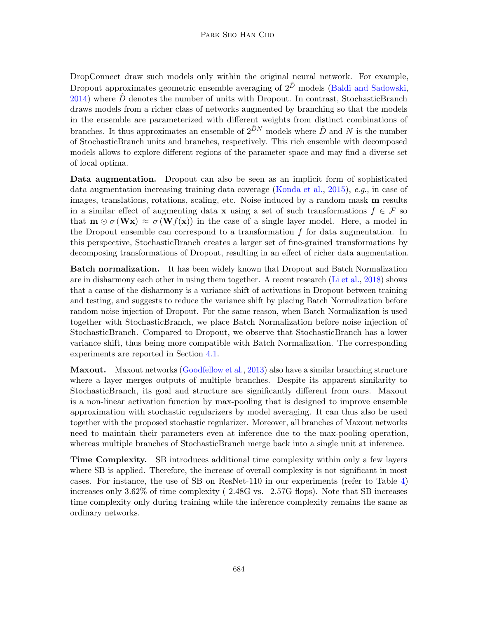DropConnect draw such models only within the original neural network. For example, Dropout approximates geometric ensemble averaging of  $2^{\hat{D}}$  models [\(Baldi and Sadowski,](#page-13-2) [2014\)](#page-13-2) where  $\hat{D}$  denotes the number of units with Dropout. In contrast, StochasticBranch draws models from a richer class of networks augmented by branching so that the models in the ensemble are parameterized with different weights from distinct combinations of branches. It thus approximates an ensemble of  $2^{\hat{D}N}$  models where  $\hat{D}$  and N is the number of StochasticBranch units and branches, respectively. This rich ensemble with decomposed models allows to explore different regions of the parameter space and may find a diverse set of local optima.

Data augmentation. Dropout can also be seen as an implicit form of sophisticated data augmentation increasing training data coverage [\(Konda et al.,](#page-14-9) [2015\)](#page-14-9), e.g., in case of images, translations, rotations, scaling, etc. Noise induced by a random mask m results in a similar effect of augmenting data x using a set of such transformations  $f \in \mathcal{F}$  so that  $\mathbf{m} \odot \sigma(\mathbf{W}\mathbf{x}) \approx \sigma(\mathbf{W}f(\mathbf{x}))$  in the case of a single layer model. Here, a model in the Dropout ensemble can correspond to a transformation  $f$  for data augmentation. In this perspective, StochasticBranch creates a larger set of fine-grained transformations by decomposing transformations of Dropout, resulting in an effect of richer data augmentation.

Batch normalization. It has been widely known that Dropout and Batch Normalization are in disharmony each other in using them together. A recent research [\(Li et al.,](#page-14-10) [2018\)](#page-14-10) shows that a cause of the disharmony is a variance shift of activations in Dropout between training and testing, and suggests to reduce the variance shift by placing Batch Normalization before random noise injection of Dropout. For the same reason, when Batch Normalization is used together with StochasticBranch, we place Batch Normalization before noise injection of StochasticBranch. Compared to Dropout, we observe that StochasticBranch has a lower variance shift, thus being more compatible with Batch Normalization. The corresponding experiments are reported in Section [4.1.](#page-7-1)

Maxout. Maxout networks [\(Goodfellow et al.,](#page-14-8) [2013\)](#page-14-8) also have a similar branching structure where a layer merges outputs of multiple branches. Despite its apparent similarity to StochasticBranch, its goal and structure are significantly different from ours. Maxout is a non-linear activation function by max-pooling that is designed to improve ensemble approximation with stochastic regularizers by model averaging. It can thus also be used together with the proposed stochastic regularizer. Moreover, all branches of Maxout networks need to maintain their parameters even at inference due to the max-pooling operation, whereas multiple branches of StochasticBranch merge back into a single unit at inference.

Time Complexity. SB introduces additional time complexity within only a few layers where SB is applied. Therefore, the increase of overall complexity is not significant in most cases. For instance, the use of SB on ResNet-110 in our experiments (refer to Table [4\)](#page-11-0) increases only 3.62% of time complexity ( 2.48G vs. 2.57G flops). Note that SB increases time complexity only during training while the inference complexity remains the same as ordinary networks.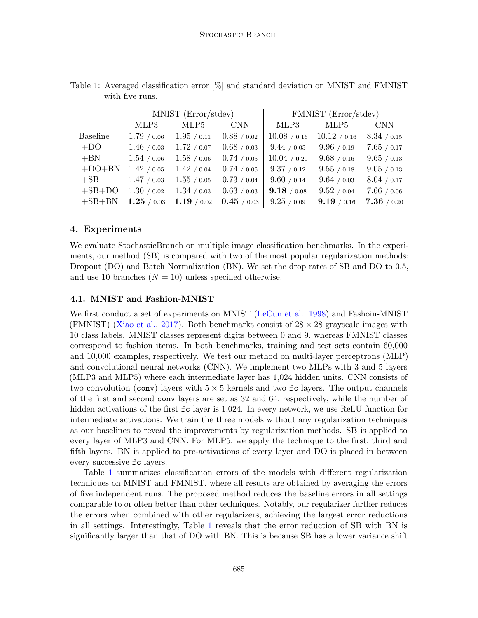|                 | MNIST (Error/stdev)    |               |             | FMNIST (Error/stdev) |              |               |
|-----------------|------------------------|---------------|-------------|----------------------|--------------|---------------|
|                 | MLP3                   | MLP5          | <b>CNN</b>  | MLP3                 | MLP5         | <b>CNN</b>    |
| <b>Baseline</b> | 1.79 / 0.06            | 1.95/0.11     | 0.88 / 0.02 | 10.08 / 0.16         | 10.12 / 0.16 | 8.34 / 0.15   |
| $+DO$           | 1.46/0.03              | 1.72 / 0.07   | 0.68 / 0.03 | 9.44 / 0.05          | 9.96 / 0.19  | 7.65 / 0.17   |
| $+BN$           | 1.54 / 0.06            | 1.58 / 0.06   | 0.74/0.05   | 10.04 / 0.20         | 9.68 / 0.16  | 9.65 / 0.13   |
| $+DO+BN$        | 1.42 / 0.05            | 1.42 / 0.04   | 0.74/0.05   | 9.37 / 0.12          | 9.55 / 0.18  | 9.05 / 0.13   |
| $+SB$           | 1.47/0.03              | 1.55 / 0.05   | 0.73 / 0.04 | 9.60 / 0.14          | 9.64 / 0.03  | 8.04 / 0.17   |
| $+SB+DO$        | 1.30 / 0.02            | 1.34/0.03     | 0.63 / 0.03 | 9.18 / 0.08          | 9.52 / 0.04  | 7.66 / 0.06   |
| $+SB+BN$        | $\mathbf{1.25}$ / 0.03 | $1.19$ / 0.02 | 0.45/0.03   | 9.25 / 0.09          | 9.19 / 0.16  | $7.36$ / 0.20 |

<span id="page-7-2"></span>Table 1: Averaged classification error [%] and standard deviation on MNIST and FMNIST with five runs.

# <span id="page-7-0"></span>4. Experiments

We evaluate StochasticBranch on multiple image classification benchmarks. In the experiments, our method (SB) is compared with two of the most popular regularization methods: Dropout (DO) and Batch Normalization (BN). We set the drop rates of SB and DO to 0.5, and use 10 branches  $(N = 10)$  unless specified otherwise.

# <span id="page-7-1"></span>4.1. MNIST and Fashion-MNIST

We first conduct a set of experiments on MNIST [\(LeCun et al.,](#page-14-11) [1998\)](#page-14-11) and Fashoin-MNIST (FMNIST) [\(Xiao et al.,](#page-15-10) [2017\)](#page-15-10). Both benchmarks consist of  $28 \times 28$  grayscale images with 10 class labels. MNIST classes represent digits between 0 and 9, whereas FMNIST classes correspond to fashion items. In both benchmarks, training and test sets contain 60,000 and 10,000 examples, respectively. We test our method on multi-layer perceptrons (MLP) and convolutional neural networks (CNN). We implement two MLPs with 3 and 5 layers (MLP3 and MLP5) where each intermediate layer has 1,024 hidden units. CNN consists of two convolution (conv) layers with  $5 \times 5$  kernels and two fc layers. The output channels of the first and second conv layers are set as 32 and 64, respectively, while the number of hidden activations of the first  $f c$  layer is 1,024. In every network, we use ReLU function for intermediate activations. We train the three models without any regularization techniques as our baselines to reveal the improvements by regularization methods. SB is applied to every layer of MLP3 and CNN. For MLP5, we apply the technique to the first, third and fifth layers. BN is applied to pre-activations of every layer and DO is placed in between every successive fc layers.

Table [1](#page-7-2) summarizes classification errors of the models with different regularization techniques on MNIST and FMNIST, where all results are obtained by averaging the errors of five independent runs. The proposed method reduces the baseline errors in all settings comparable to or often better than other techniques. Notably, our regularizer further reduces the errors when combined with other regularizers, achieving the largest error reductions in all settings. Interestingly, Table [1](#page-7-2) reveals that the error reduction of SB with BN is significantly larger than that of DO with BN. This is because SB has a lower variance shift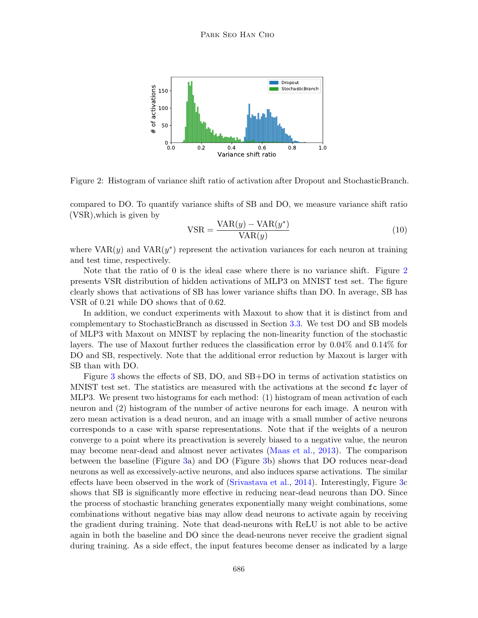

<span id="page-8-0"></span>Figure 2: Histogram of variance shift ratio of activation after Dropout and StochasticBranch.

compared to DO. To quantify variance shifts of SB and DO, we measure variance shift ratio (VSR),which is given by

$$
VSR = \frac{VAR(y) - VAR(y^*)}{VAR(y)}
$$
\n(10)

where  $VAR(y)$  and  $VAR(y^*)$  represent the activation variances for each neuron at training and test time, respectively.

Note that the ratio of 0 is the ideal case where there is no variance shift. Figure [2](#page-8-0) presents VSR distribution of hidden activations of MLP3 on MNIST test set. The figure clearly shows that activations of SB has lower variance shifts than DO. In average, SB has VSR of 0.21 while DO shows that of 0.62.

In addition, we conduct experiments with Maxout to show that it is distinct from and complementary to StochasticBranch as discussed in Section [3.3.](#page-5-0) We test DO and SB models of MLP3 with Maxout on MNIST by replacing the non-linearity function of the stochastic layers. The use of Maxout further reduces the classification error by 0.04% and 0.14% for DO and SB, respectively. Note that the additional error reduction by Maxout is larger with SB than with DO.

Figure [3](#page-9-0) shows the effects of SB, DO, and SB+DO in terms of activation statistics on MNIST test set. The statistics are measured with the activations at the second fc layer of MLP3. We present two histograms for each method: (1) histogram of mean activation of each neuron and (2) histogram of the number of active neurons for each image. A neuron with zero mean activation is a dead neuron, and an image with a small number of active neurons corresponds to a case with sparse representations. Note that if the weights of a neuron converge to a point where its preactivation is severely biased to a negative value, the neuron may become near-dead and almost never activates [\(Maas et al.,](#page-15-11) [2013\)](#page-15-11). The comparison between the baseline (Figure [3a](#page-9-0)) and DO (Figure [3b](#page-9-0)) shows that DO reduces near-dead neurons as well as excessively-active neurons, and also induces sparse activations. The similar effects have been observed in the work of [\(Srivastava et al.,](#page-15-9) [2014\)](#page-15-9). Interestingly, Figure [3c](#page-9-0) shows that SB is significantly more effective in reducing near-dead neurons than DO. Since the process of stochastic branching generates exponentially many weight combinations, some combinations without negative bias may allow dead neurons to activate again by receiving the gradient during training. Note that dead-neurons with ReLU is not able to be active again in both the baseline and DO since the dead-neurons never receive the gradient signal during training. As a side effect, the input features become denser as indicated by a large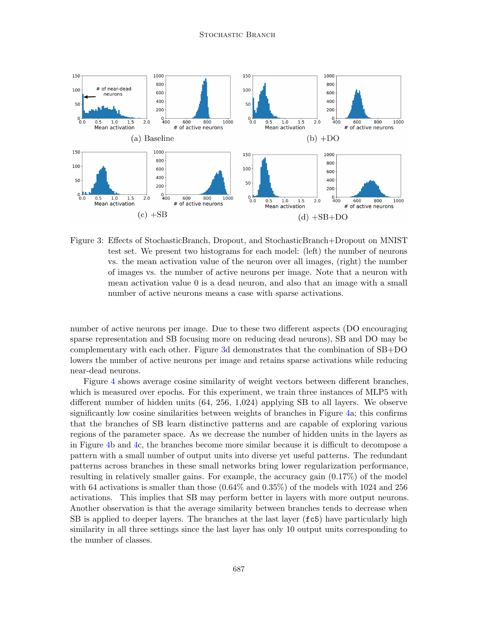

<span id="page-9-0"></span>Figure 3: Effects of StochasticBranch, Dropout, and StochasticBranch+Dropout on MNIST test set. We present two histograms for each model: (left) the number of neurons vs. the mean activation value of the neuron over all images, (right) the number of images vs. the number of active neurons per image. Note that a neuron with mean activation value 0 is a dead neuron, and also that an image with a small number of active neurons means a case with sparse activations.

number of active neurons per image. Due to these two different aspects (DO encouraging sparse representation and SB focusing more on reducing dead neurons), SB and DO may be complementary with each other. Figure [3d](#page-9-0) demonstrates that the combination of SB+DO lowers the number of active neurons per image and retains sparse activations while reducing near-dead neurons.

Figure [4](#page-10-0) shows average cosine similarity of weight vectors between different branches, which is measured over epochs. For this experiment, we train three instances of MLP5 with different number of hidden units (64, 256, 1,024) applying SB to all layers. We observe significantly low cosine similarities between weights of branches in Figure [4a](#page-10-0); this confirms that the branches of SB learn distinctive patterns and are capable of exploring various regions of the parameter space. As we decrease the number of hidden units in the layers as in Figure [4b](#page-10-0) and [4c](#page-10-0), the branches become more similar because it is difficult to decompose a pattern with a small number of output units into diverse yet useful patterns. The redundant patterns across branches in these small networks bring lower regularization performance, resulting in relatively smaller gains. For example, the accuracy gain (0.17%) of the model with 64 activations is smaller than those (0.64% and 0.35%) of the models with 1024 and 256 activations. This implies that SB may perform better in layers with more output neurons. Another observation is that the average similarity between branches tends to decrease when SB is applied to deeper layers. The branches at the last layer ( $f c5$ ) have particularly high similarity in all three settings since the last layer has only 10 output units corresponding to the number of classes.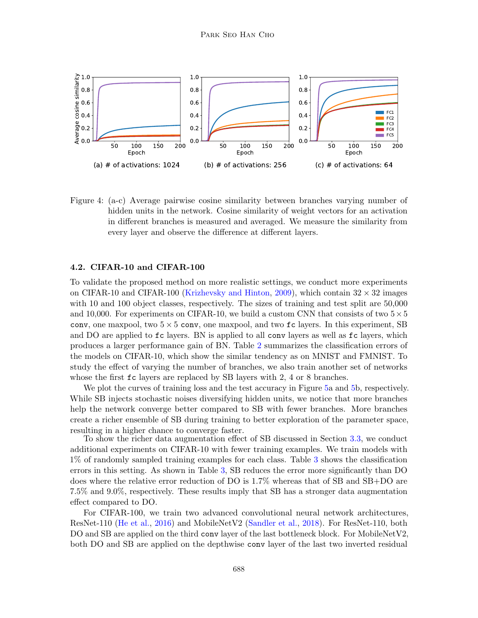

<span id="page-10-0"></span>Figure 4: (a-c) Average pairwise cosine similarity between branches varying number of hidden units in the network. Cosine similarity of weight vectors for an activation in different branches is measured and averaged. We measure the similarity from every layer and observe the difference at different layers.

#### 4.2. CIFAR-10 and CIFAR-100

To validate the proposed method on more realistic settings, we conduct more experiments on CIFAR-10 and CIFAR-100 [\(Krizhevsky and Hinton,](#page-14-12) [2009\)](#page-14-12), which contain  $32 \times 32$  images with 10 and 100 object classes, respectively. The sizes of training and test split are 50,000 and 10,000. For experiments on CIFAR-10, we build a custom CNN that consists of two  $5 \times 5$ conv, one maxpool, two  $5 \times 5$  conv, one maxpool, and two  $\texttt{fc}$  layers. In this experiment, SB and DO are applied to  $\epsilon$  layers. BN is applied to all conv layers as well as  $\epsilon$  layers, which produces a larger performance gain of BN. Table [2](#page-11-1) summarizes the classification errors of the models on CIFAR-10, which show the similar tendency as on MNIST and FMNIST. To study the effect of varying the number of branches, we also train another set of networks whose the first fc layers are replaced by SB layers with 2, 4 or 8 branches.

We plot the curves of training loss and the test accuracy in Figure [5a](#page-12-0) and [5b](#page-12-0), respectively. While SB injects stochastic noises diversifying hidden units, we notice that more branches help the network converge better compared to SB with fewer branches. More branches create a richer ensemble of SB during training to better exploration of the parameter space, resulting in a higher chance to converge faster.

To show the richer data augmentation effect of SB discussed in Section [3.3,](#page-5-0) we conduct additional experiments on CIFAR-10 with fewer training examples. We train models with 1% of randomly sampled training examples for each class. Table [3](#page-11-2) shows the classification errors in this setting. As shown in Table [3,](#page-11-2) SB reduces the error more significantly than DO does where the relative error reduction of DO is 1.7% whereas that of SB and SB+DO are 7.5% and 9.0%, respectively. These results imply that SB has a stronger data augmentation effect compared to DO.

For CIFAR-100, we train two advanced convolutional neural network architectures, ResNet-110 [\(He et al.,](#page-14-13) [2016\)](#page-14-13) and MobileNetV2 [\(Sandler et al.,](#page-15-12) [2018\)](#page-15-12). For ResNet-110, both DO and SB are applied on the third conv layer of the last bottleneck block. For MobileNetV2, both DO and SB are applied on the depthwise conv layer of the last two inverted residual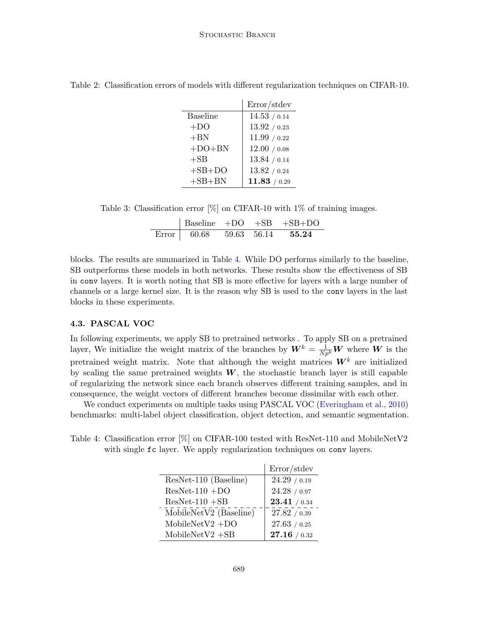|                 | Error/stdev  |
|-----------------|--------------|
| <b>Baseline</b> | 14.53 / 0.14 |
| $+DO$           | 13.92 / 0.23 |
| $+BN$           | 11.99 / 0.22 |
| $+DO+BN$        | 12.00 / 0.08 |
| $+SB$           | 13.84 / 0.14 |
| $+SB+DO$        | 13.82 / 0.24 |
| $+SB+BN$        | 11.83 / 0.29 |

<span id="page-11-1"></span>Table 2: Classification errors of models with different regularization techniques on CIFAR-10.

Table 3: Classification error [%] on CIFAR-10 with 1% of training images.

<span id="page-11-2"></span>

|                               |  | $\vert$ Baseline +DO +SB +SB+DO |
|-------------------------------|--|---------------------------------|
| Error 60.68 59.63 56.14 55.24 |  |                                 |

blocks. The results are summarized in Table [4.](#page-11-0) While DO performs similarly to the baseline, SB outperforms these models in both networks. These results show the effectiveness of SB in conv layers. It is worth noting that SB is more effective for layers with a large number of channels or a large kernel size. It is the reason why SB is used to the conv layers in the last blocks in these experiments.

## 4.3. PASCAL VOC

In following experiments, we apply SB to pretrained networks . To apply SB on a pretrained layer, We initialize the weight matrix of the branches by  $W^k = \frac{1}{Np^k}W$  where W is the pretrained weight matrix. Note that although the weight matrices  $W^k$  are initialized by scaling the same pretrained weights  $W$ , the stochastic branch layer is still capable of regularizing the network since each branch observes different training samples, and in consequence, the weight vectors of different branches become dissimilar with each other.

We conduct experiments on multiple tasks using PASCAL VOC [\(Everingham et al.,](#page-13-3) [2010\)](#page-13-3) benchmarks: multi-label object classification, object detection, and semantic segmentation.

<span id="page-11-0"></span>Table 4: Classification error  $[\%]$  on CIFAR-100 tested with ResNet-110 and MobileNetV2 with single fc layer. We apply regularization techniques on conv layers.

|                        | Error/stdev  |
|------------------------|--------------|
| ResNet-110 (Baseline)  | 24.29 / 0.19 |
| $ResNet-110 + DO$      | 24.28 / 0.97 |
| $ResNet-110 + SB$      | 23.41 / 0.34 |
| MobileNetV2 (Baseline) | 27.82 / 0.39 |
| MobileNetV2 + $DO$     | 27.63 / 0.25 |
| $MobileNetV2 + SB$     | 27.16 / 0.32 |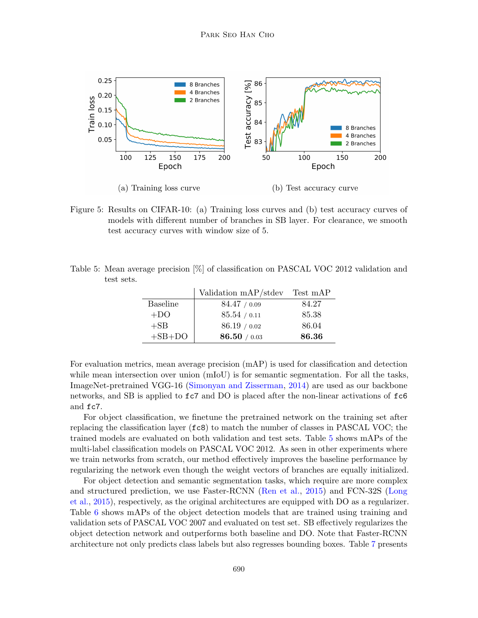

<span id="page-12-0"></span>Figure 5: Results on CIFAR-10: (a) Training loss curves and (b) test accuracy curves of models with different number of branches in SB layer. For clearance, we smooth test accuracy curves with window size of 5.

<span id="page-12-1"></span>

| Table 5: Mean average precision $[\%]$ of classification on PASCAL VOC 2012 validation and |  |  |  |  |  |
|--------------------------------------------------------------------------------------------|--|--|--|--|--|
| test sets.                                                                                 |  |  |  |  |  |

|                 | Validation mAP/stdev | Test mAP |
|-----------------|----------------------|----------|
| <b>Baseline</b> | 84.47 / 0.09         | 84.27    |
| $+DO$           | 85.54 / 0.11         | 85.38    |
| $+SB$           | 86.19 / 0.02         | 86.04    |
| $+SB+DO$        | 86.50 / 0.03         | 86.36    |

For evaluation metrics, mean average precision (mAP) is used for classification and detection while mean intersection over union (mIoU) is for semantic segmentation. For all the tasks, ImageNet-pretrained VGG-16 [\(Simonyan and Zisserman,](#page-15-13) [2014\)](#page-15-13) are used as our backbone networks, and SB is applied to  $f \circ \bar{c}$  and DO is placed after the non-linear activations of  $f \circ \bar{c}$ and fc7.

For object classification, we finetune the pretrained network on the training set after replacing the classification layer  $({\bf fc8})$  to match the number of classes in PASCAL VOC; the trained models are evaluated on both validation and test sets. Table [5](#page-12-1) shows mAPs of the multi-label classification models on PASCAL VOC 2012. As seen in other experiments where we train networks from scratch, our method effectively improves the baseline performance by regularizing the network even though the weight vectors of branches are equally initialized.

For object detection and semantic segmentation tasks, which require are more complex and structured prediction, we use Faster-RCNN [\(Ren et al.,](#page-15-14) [2015\)](#page-15-14) and FCN-32S [\(Long](#page-15-15) [et al.,](#page-15-15) [2015\)](#page-15-15), respectively, as the original architectures are equipped with DO as a regularizer. Table [6](#page-13-4) shows mAPs of the object detection models that are trained using training and validation sets of PASCAL VOC 2007 and evaluated on test set. SB effectively regularizes the object detection network and outperforms both baseline and DO. Note that Faster-RCNN architecture not only predicts class labels but also regresses bounding boxes. Table [7](#page-13-5) presents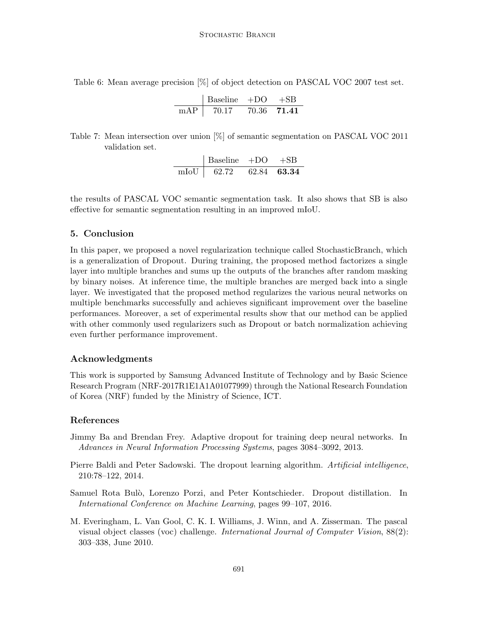<span id="page-13-4"></span>Table 6: Mean average precision [%] of object detection on PASCAL VOC 2007 test set.

$$
\begin{array}{c|cc}\n & \text{Baseline} & +\text{DO} & +\text{SB} \\
\hline\n\text{mAP} & 70.17 & 70.36 & \textbf{71.41}\n\end{array}
$$

<span id="page-13-5"></span>Table 7: Mean intersection over union [%] of semantic segmentation on PASCAL VOC 2011 validation set.

|      | Baseline $+DO$ |             |
|------|----------------|-------------|
| mIoU | 62.72          | 62.84 63.34 |

the results of PASCAL VOC semantic segmentation task. It also shows that SB is also effective for semantic segmentation resulting in an improved mIoU.

# 5. Conclusion

In this paper, we proposed a novel regularization technique called StochasticBranch, which is a generalization of Dropout. During training, the proposed method factorizes a single layer into multiple branches and sums up the outputs of the branches after random masking by binary noises. At inference time, the multiple branches are merged back into a single layer. We investigated that the proposed method regularizes the various neural networks on multiple benchmarks successfully and achieves significant improvement over the baseline performances. Moreover, a set of experimental results show that our method can be applied with other commonly used regularizers such as Dropout or batch normalization achieving even further performance improvement.

## Acknowledgments

This work is supported by Samsung Advanced Institute of Technology and by Basic Science Research Program (NRF-2017R1E1A1A01077999) through the National Research Foundation of Korea (NRF) funded by the Ministry of Science, ICT.

## References

- <span id="page-13-0"></span>Jimmy Ba and Brendan Frey. Adaptive dropout for training deep neural networks. In Advances in Neural Information Processing Systems, pages 3084–3092, 2013.
- <span id="page-13-2"></span>Pierre Baldi and Peter Sadowski. The dropout learning algorithm. Artificial intelligence, 210:78–122, 2014.
- <span id="page-13-1"></span>Samuel Rota Bulò, Lorenzo Porzi, and Peter Kontschieder. Dropout distillation. In International Conference on Machine Learning, pages 99–107, 2016.
- <span id="page-13-3"></span>M. Everingham, L. Van Gool, C. K. I. Williams, J. Winn, and A. Zisserman. The pascal visual object classes (voc) challenge. International Journal of Computer Vision, 88(2): 303–338, June 2010.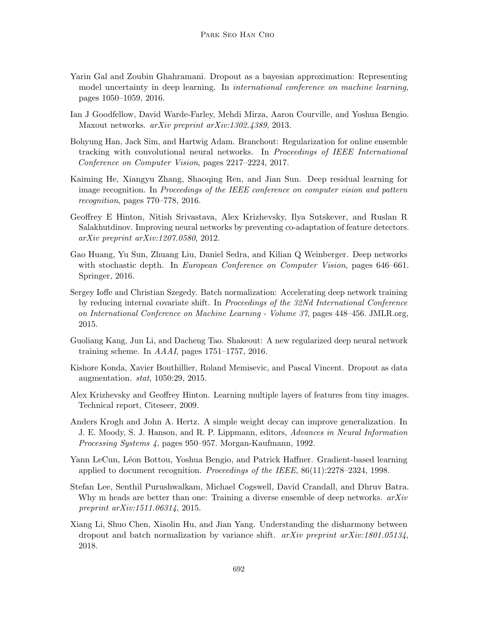- <span id="page-14-5"></span>Yarin Gal and Zoubin Ghahramani. Dropout as a bayesian approximation: Representing model uncertainty in deep learning. In international conference on machine learning, pages 1050–1059, 2016.
- <span id="page-14-8"></span>Ian J Goodfellow, David Warde-Farley, Mehdi Mirza, Aaron Courville, and Yoshua Bengio. Maxout networks. arXiv preprint arXiv:1302.4389, 2013.
- <span id="page-14-7"></span>Bohyung Han, Jack Sim, and Hartwig Adam. Branchout: Regularization for online ensemble tracking with convolutional neural networks. In Proceedings of IEEE International Conference on Computer Vision, pages 2217–2224, 2017.
- <span id="page-14-13"></span>Kaiming He, Xiangyu Zhang, Shaoqing Ren, and Jian Sun. Deep residual learning for image recognition. In Proceedings of the IEEE conference on computer vision and pattern recognition, pages 770–778, 2016.
- <span id="page-14-0"></span>Geoffrey E Hinton, Nitish Srivastava, Alex Krizhevsky, Ilya Sutskever, and Ruslan R Salakhutdinov. Improving neural networks by preventing co-adaptation of feature detectors. arXiv preprint arXiv:1207.0580, 2012.
- <span id="page-14-1"></span>Gao Huang, Yu Sun, Zhuang Liu, Daniel Sedra, and Kilian Q Weinberger. Deep networks with stochastic depth. In European Conference on Computer Vision, pages 646–661. Springer, 2016.
- <span id="page-14-2"></span>Sergey Ioffe and Christian Szegedy. Batch normalization: Accelerating deep network training by reducing internal covariate shift. In Proceedings of the 32Nd International Conference on International Conference on Machine Learning - Volume 37, pages 448–456. JMLR.org, 2015.
- <span id="page-14-4"></span>Guoliang Kang, Jun Li, and Dacheng Tao. Shakeout: A new regularized deep neural network training scheme. In  $AAAI$ , pages 1751–1757, 2016.
- <span id="page-14-9"></span>Kishore Konda, Xavier Bouthillier, Roland Memisevic, and Pascal Vincent. Dropout as data augmentation. stat, 1050:29, 2015.
- <span id="page-14-12"></span>Alex Krizhevsky and Geoffrey Hinton. Learning multiple layers of features from tiny images. Technical report, Citeseer, 2009.
- <span id="page-14-3"></span>Anders Krogh and John A. Hertz. A simple weight decay can improve generalization. In J. E. Moody, S. J. Hanson, and R. P. Lippmann, editors, Advances in Neural Information Processing Systems 4, pages 950–957. Morgan-Kaufmann, 1992.
- <span id="page-14-11"></span>Yann LeCun, Léon Bottou, Yoshua Bengio, and Patrick Haffner. Gradient-based learning applied to document recognition. Proceedings of the IEEE, 86(11):2278–2324, 1998.
- <span id="page-14-6"></span>Stefan Lee, Senthil Purushwalkam, Michael Cogswell, David Crandall, and Dhruv Batra. Why m heads are better than one: Training a diverse ensemble of deep networks.  $arXiv$ preprint arXiv:1511.06314, 2015.
- <span id="page-14-10"></span>Xiang Li, Shuo Chen, Xiaolin Hu, and Jian Yang. Understanding the disharmony between dropout and batch normalization by variance shift.  $arXiv$  preprint  $arXiv:1801.05134$ , 2018.